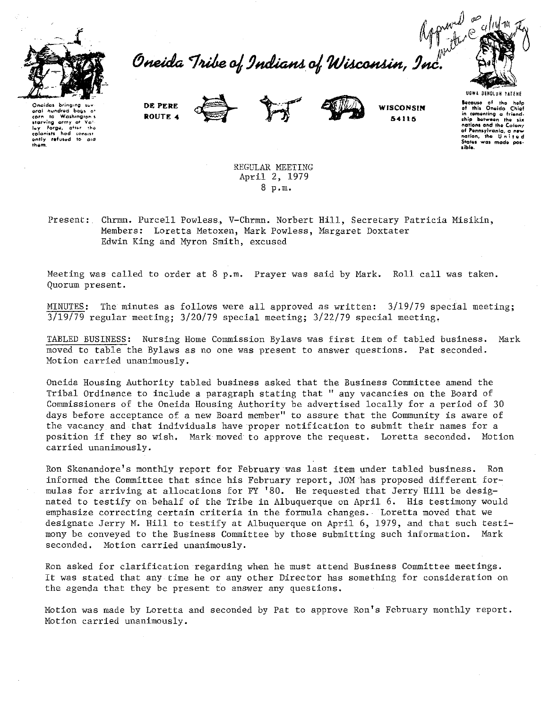

Approved<br>Oneida Tribe of Indians of Wisconsin, Inc.



Oncidas aral nundred bass Washington s  $\overline{t}$ corn starving army at Vot n<br>Atter tha colonists suiumais nad consist<br>antly refused to aid<br>them. DE PERE ROUTE 4





WISCONSIN 54115

**Because** of the help<br>of this Oneida Chief in comenting a friend-<br>ship between the six of Pennsylvania, a nev  $action$ , the  $Hint$ Status was made possible.

**UGWA RENOLUM YATENE** 

REGULAR MEETING April 2, 1979 8 p.m.

Present: Chrmn. Purcell Powless, V-Chrmn. Norbert Hill, Secretary Patricia Misikin, Members: Loretta Metoxen, Mark Powless, Margaret Doxtater Edwin King and Myron Smith, excused

Meeting was called to order at 8 p.m. Prayer was said by Mark. Roll call was taken. Quorum present.

MINUTES: The minutes as follows were all approved as written:  $3/19/79$  special meeting;  $3/19/79$  regular meeting;  $3/20/79$  special meeting;  $3/22/79$  special meeting.

TABLED BUSINESS: Nursing Home Commission Bylaws was first item of tabled business. Mark moved to table the Bylaws as no one was present to answer questions. Pat seconded. Motion carried unanimously.

Oneida Housing Authority tabled business asked that the Business Committee amend the Tribal Ordinance to include a paragraph stating that " any vacancies on the Board of Commissioners of the Oneida Housing Authority be advertised locally for a period of 30 days before acceptance of a new Board member" to assure that the Community is aware of the vacancy and that individuals have proper notification to submit their names for a position if they so wish. Mark moved to approve the request. Loretta seconded. Motion carried unanimously.

Ron Skenandore's monthly report for February was last item under tabled business. Ron informed the Committee that since his February report, JOM has proposed different formulas for arriving at allocations for FY '80. He requested that Jerry Hill be designated to testify on behalf of the Tribe in Albuquerque on April 6. His testimony would emphasize correcting certain criteria in the formula changes. Loretta moved that we designate Jerry M. Hill to testify at Albuquerque on April 6, 1979, and that such testimony be conveyed to the Business Committee by those submitting such information. Mark seconded. Motion carried unanimously.

Ron asked for clarification regarding when he must attend Business Committee meetings. It was stated that any time he or any other Director has something for consideration on the agenda that they be present to answer any questions.

Motion was made by Loretta and seconded by Pat to approve Ron's February monthly report. Motion carried unanimously.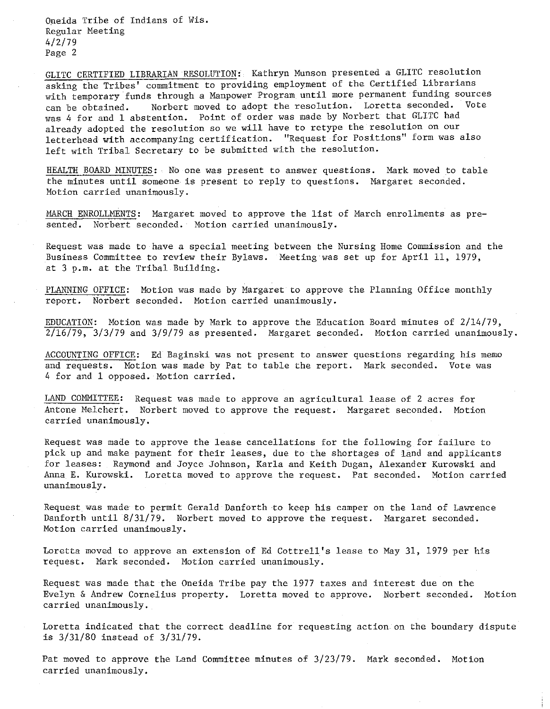Opeida Tribe of Indians of Wis. Regular Meeting 4/2/79 Page 2

GLITC CERTIFIED LIBRARIAN RESOLUTION: Kathryn Munson presented a GLITC resolution asking the Tribes' commitment to providing employment of the Certified Librarians with temporary funds through a Manpower Program until more permanent funding sources can be obtained. Norbert moved to adopt the resolution. Loretta seconded. Vote was 4 for and 1 abstention. Point of order was made by Norbert that GLITC had already adopted the resolution so we will have to retype the resolution on our letterhead with accompanying certification. "Request for Positions" form was also left with Tribal Secretary to be submitted with the resolution.

HEALTH BOARD MINUTES: No one was present to answer questions. Mark moved to table the minutes until someone is present to reply to questions. Margaret seconded. **Motion carried unanimously.** 

MARCH ENROLLMENTS: Margaret moved to approve the list of March enrollments as presented. Norbert seconded. Motion carried unanimously.

Request was made to have a special meeting between the Nursing Home Commission and the Business Committee to review their Bylaws. Meeting was set up for April 11, 1979, at 3 p.m. at the Tribal Building.

PLANNING OFFICE: Motion was made by Margaret to approve the Planning Office monthly report. Norbert seconded. Motion carried unanimously.

EDUCATION: Motion was made by Mark to approve the Education Board minutes of 2/14/79, 2/16/79, 3/3/79 and 3/9/79 as presented. Margaret seconded. **Motion carried unanimously.** 

ACCOUNTING OFFICE: Ed Baginski was not present to answer questions regarding his memo and requests. Motion was made by Pat to table the report. Mark seconded. Vote was 4 for and 1 opposed. Motion carried.

LAND COMMITTEE: Request was made to approve an agricultural lease of 2 acres for Antone Melchert. Norbert moved to approve the request. Margaret seconded. Motion **carried unanimously.** 

Request was made to approve the lease cancellations for the following for failure to pick up and make payment for their leases, due to the shortages of land and applicants for leases: Raymond and Joyce Johnson, Karla and Keith Dugan, Alexander Kurowski and Anna E. Kurowski. Loretta moved to approve the request. Pat seconded. Motion carried **unanimously.** 

Request was made to permit Gerald Danforth to keep his camper on the land of Lawrence Danforth until 8/31/79. Norbert moved to approve the request. Margaret seconded. **Motion carried unanimously.** 

Loretta moved to approve an extension of Ed Cottrell's lease to May 31, 1979 per his request. Mark seconded. Motion carried unanimously.

Request was made that the Oneida Tribe pay the 1977 taxes and interest due on the Evelyn & Andrew Cornelius property. Loretta moved to approve. Norbert seconded. Motion **carried unanimously.** 

Loretta indicated that the correct deadline for requesting action on the boundary dispute is 3/31/80 instead of 3/31/79.

Pat moved to approve the Land Committee minutes of 3/23/79. Mark seconded. Motion **carried unanimously.**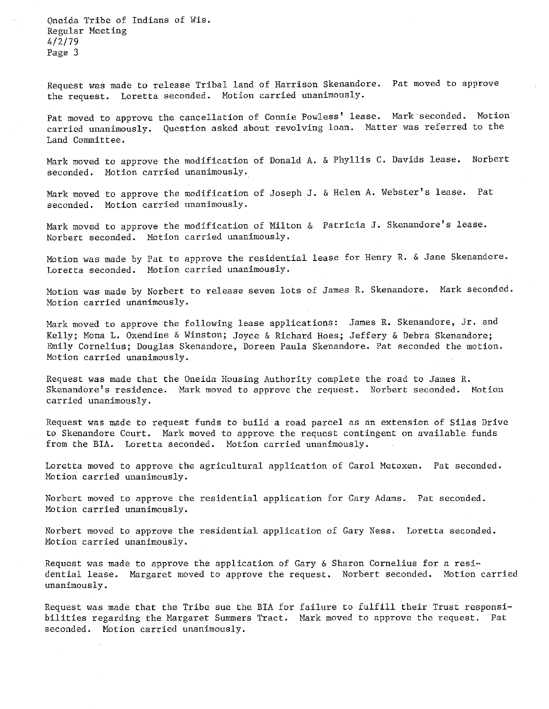Oneida Tribe of Indians of Wis. Regular Meeting 4/2/79 Page 3

Request was made to release Tribal land of Harrison Skenandore. Pat moved to approve the request. Loretta seconded. Motion carried unanimously.

Pat moved to approve the cancellation of Connie Powless' lease. Mark seconded. Motion **carried unanimously.**  Question asked about revolving loan. Matter was referred to the Land Committee.

Mark moved to approve the modification of Donald A. & Phyllis c. Davids **lease.** Norbert seconded. **Motion carried** unanimously.

Mark moved to approve the modification of Joseph J. & Helen A. Webster's lease. Pat seconded. Motion carried **unanimously.** 

Mark moved to approve the modification of Milton & Patricia J. Skenandore's lease. Norbert seconded. Motion carried unanimously.

Motion was made by Pat to approve the residential lease for Henry R. & Jane Skenandore. Loretta seconded. Motion carried unanimously.

Motion was made by Norbert to release seven lots of James R. Skenandore. Mark seconded. **Motion carried unanimously.** 

Mark moved to approve the following lease applications: James R. Skenandore, Jr. and Kelly; Mona L. Oxendine & Winston; Joyce & Richard Hoes; Jeffery & Debra Skenandore; Emily Cornelius; Douglas Skenandore, Doreen Paula Skenandore. Pat seconded the motion. **Motion carried unanimously.** 

Request was made that the Oneida Housing Authority complete the road to James R. Skenandore's residence. Mark moved to approve the request. Norbert seconded. Motion **carried unanimously.** 

Request was made to request funds to build a road parcel as an extension of Silas Drive to Skenandore Court. Mark moved to approve the request contingent on available funds from the BIA. Loretta seconded. Motion carried unanimously.

Loretta moved to approve the agricultural application of Carol Metoxen. Pat seconded. **Motion carried unanimously.** 

Norbert moved to approve the residential application for Gary Adams. Pat seconded. **Motion carried unanimously.** 

Norbert moved to approve the residential application of Gary Ness. Loretta seconded. **Motion carried unanimously.** 

Request was made to approve the application of Gary & Sharon Cornelius for **a resi**dential lease. Margaret moved to approve the request. Norbert seconded. Motion carried **unanimously.** 

Request was made that the Tribe sue the BIA for failure to fulfill their Trust responsibilities regarding the Margaret Summers Tract. Mark moved to approve the request. Pat seconded. Motion carried unanimously.